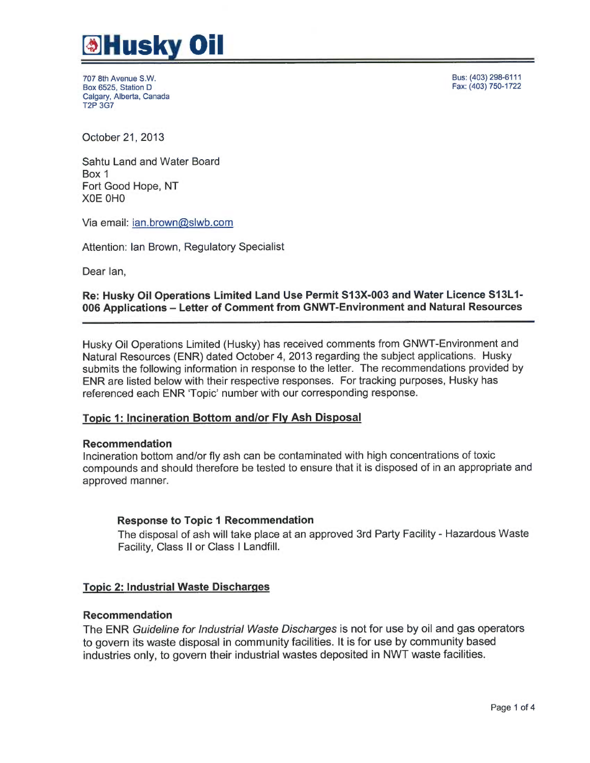

707 8th Avenue S.W. Box 6525, Station D Calgary, Alberta, Canada T2P 3G7

Bus: (403) 298-6111 Fax: (403) 750-1722

October 21, 2013

Sahtu Land and Water Board Box 1 Fort Good Hope, NT XOE OHO

Via email: ian.brown@slwb.com

Attention: Ian Brown, Regulatory Specialist

Dear Ian,

# Re: Husky Oil Operations Limited Land Use Permit S13X-003 and Water Licence S13L1- 006 Applications — Letter of Comment from GNWT-Environment and Natural Resources

Husky Oil Operations Limited (Husky) has received comments from GNWT-Environment and Natural Resources (ENR) dated October 4, 2013 regarding the subject applications. Husky submits the following information in response to the letter. The recommendations provided by ENR are listed below with their respective responses. For tracking purposes, Husky has referenced each ENR 'Topic' number with our corresponding response.

### Topic 1: Incineration Bottom and/or Fly Ash Disposal

#### Recommendation

Incineration bottom and/or fly ash can be contaminated with high concentrations of toxic compounds and should therefore be tested to ensure that it is disposed of in an appropriate and approved manner.

### Response to Topic 1 Recommendation

The disposal of ash will take place at an approved 3rd Party Facility - Hazardous Waste Facility, Class II or Class I Landfill.

### Topic 2: Industrial Waste Discharges

# Recommendation

The ENR Guideline for Industrial Waste Discharges is not for use by oil and gas operators to govern its waste disposal in community facilities. It is for use by community based industries only, to govern their industrial wastes deposited in NWT waste facilities.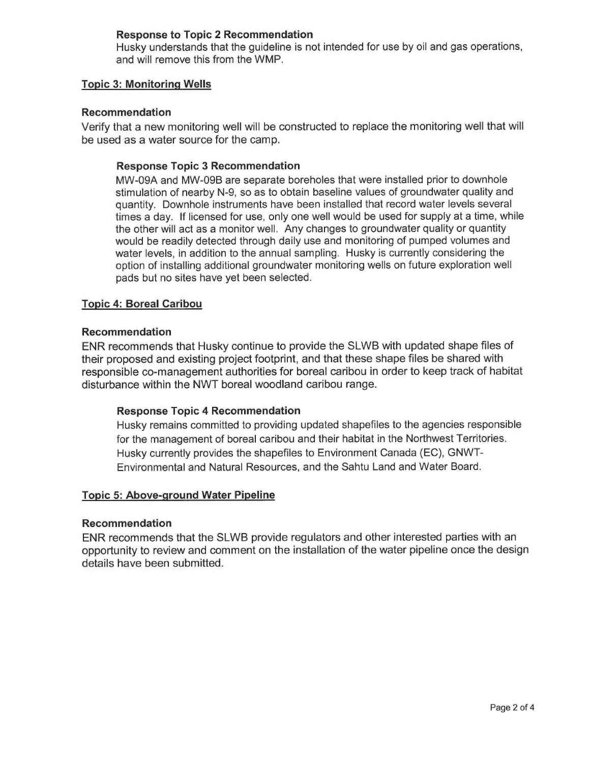# Response to Topic 2 Recommendation

Husky understands that the guideline is not intended for use by oil and gas operations, and will remove this from the WMP.

### Topic 3: Monitoring Wells

### Recommendation

Verify that a new monitoring well will be constructed to replace the monitoring well that will be used as a water source for the camp.

### Response Topic 3 Recommendation

MW-09A and MW-09B are separate boreholes that were installed prior to downhole stimulation of nearby N-9, so as to obtain baseline values of groundwater quality and quantity. Downhole instruments have been installed that record water levels several times a day. If licensed for use, only one well would be used for supply at a time, while the other will act as <sup>a</sup>monitor well. Any changes to groundwater quality or quantity would be readily detected through daily use and monitoring of pumped volumes and water levels, in addition to the annual sampling. Husky is currently considering the option of installing additional groundwater monitoring wells on future exploration well pads but no sites have yet been selected.

### Topic 4: Boreal Caribou

### Recommendation

ENR recommends that Husky continue to provide the SLWB with updated shape files of their proposed and existing project footprint, and that these shape files be shared with responsible co-management authorities for boreal caribou in order to keep track of habitat disturbance within the NWT boreal woodland caribou range.

### Response Topic 4 Recommendation

Husky remains committed to providing updated shapefiles to the agencies responsible for the management of boreal caribou and their habitat in the Northwest Territories. Husky currently provides the shapefiles to Environment Canada (EC), GNWT-Environmental and Natural Resources, and the Sahtu Land and Water Board.

# Topic 5: Above-ground Water Pipeline

### Recommendation

ENR recommends that the SLWB provide regulators and other interested parties with an opportunity to review and comment on the installation of the water pipeline once the design details have been submitted.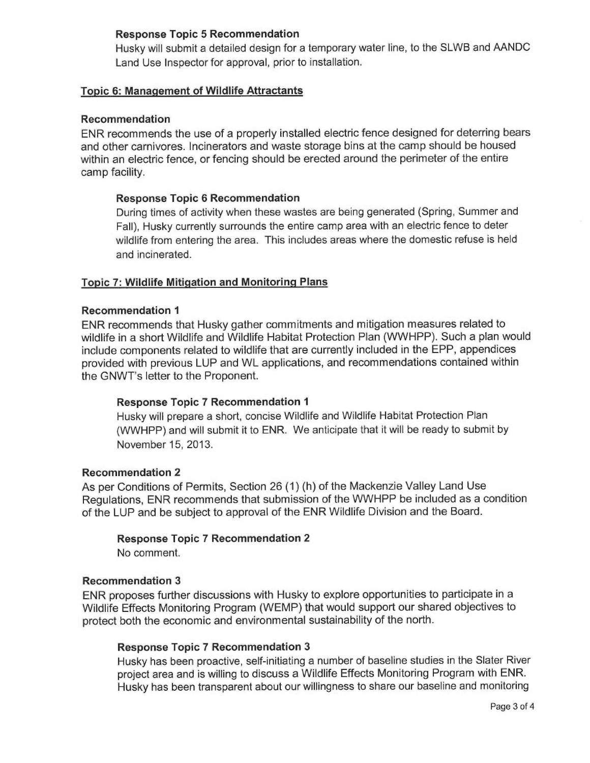# Response Topic 5 Recommendation

Husky will submit a detailed design for a temporary water line, to the SLWB and AANDC Land Use Inspector for approval, prior to installation.

# Topic 6: Management of Wildlife Attractants

# Recommendation

ENR recommends the use of a properly installed electric fence designed for deterring bears and other carnivores. Incinerators and waste storage bins at the camp should be housed within an electric fence, or fencing should be erected around the perimeter of the entire camp facility.

# Response Topic 6 Recommendation

During times of activity when these wastes are being generated (Spring, Summer and Fall), Husky currently surrounds the entire camp area with an electric fence to deter wildlife from entering the area. This includes areas where the domestic refuse is held and incinerated.

# Topic 7: Wildlife Mitigation and Monitoring Plans

### Recommendation 1

ENR recommends that Husky gather commitments and mitigation measures related to wildlife in a short Wildlife and Wildlife Habitat Protection Plan (WWHPP). Such a plan would include components related to wildlife that are currently included in the EPP, appendices provided with previous LUP and WL applications, and recommendations contained within the GNWT's letter to the Proponent.

### Response Topic 7 Recommendation 1

Husky will prepare a short, concise Wildlife and Wildlife Habitat Protection Plan (WWHPP) and will submit it to ENR. We anticipate that it will be ready to submit by November 15, 2013.

### Recommendation 2

As per Conditions of Permits, Section 26 (1) (h) of the Mackenzie Valley Land Use Regulations, ENR recommends that submission of the WWHPP be included as <sup>a</sup>condition of the LUP and be subject to approval of the ENR Wildlife Division and the Board.

### Response Topic 7 Recommendation 2

No comment.

# Recommendation 3

ENR proposes further discussions with Husky to explore opportunities to participate in <sup>a</sup> Wildlife Effects Monitoring Program (WEMP) that would support our shared objectives to protect both the economic and environmental sustainability of the north.

# Response Topic 7 Recommendation 3

Husky has been proactive, self-initiating a number of baseline studies in the Slater River project area and is willing to discuss a Wildlife Effects Monitoring Program with ENR. Husky has been transparent about our willingness to share our baseline and monitoring